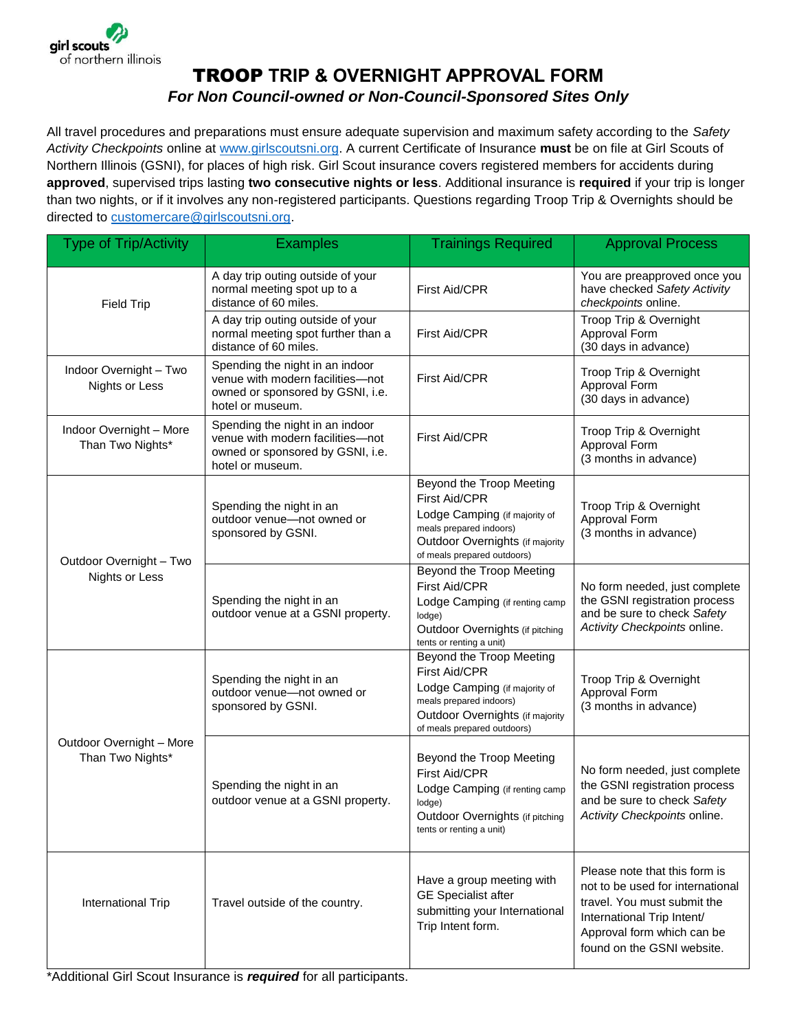

## TROOP **TRIP & OVERNIGHT APPROVAL FORM** *For Non Council-owned or Non-Council-Sponsored Sites Only*

All travel procedures and preparations must ensure adequate supervision and maximum safety according to the *Safety Activity Checkpoints* online at [www.girlscoutsni.org.](http://www.girlscoutsni.org/) A current Certificate of Insurance **must** be on file at Girl Scouts of Northern Illinois (GSNI), for places of high risk. Girl Scout insurance covers registered members for accidents during **approved**, supervised trips lasting **two consecutive nights or less**. Additional insurance is **required** if your trip is longer than two nights, or if it involves any non-registered participants. Questions regarding Troop Trip & Overnights should be directed to customercare@girlscoutsni.org.

| <b>Type of Trip/Activity</b>                    | <b>Examples</b>                                                                                                             | <b>Trainings Required</b>                                                                                                                                               | <b>Approval Process</b>                                                                                                                                                                    |
|-------------------------------------------------|-----------------------------------------------------------------------------------------------------------------------------|-------------------------------------------------------------------------------------------------------------------------------------------------------------------------|--------------------------------------------------------------------------------------------------------------------------------------------------------------------------------------------|
| <b>Field Trip</b>                               | A day trip outing outside of your<br>normal meeting spot up to a<br>distance of 60 miles.                                   | First Aid/CPR                                                                                                                                                           | You are preapproved once you<br>have checked Safety Activity<br>checkpoints online.                                                                                                        |
|                                                 | A day trip outing outside of your<br>normal meeting spot further than a<br>distance of 60 miles.                            | First Aid/CPR                                                                                                                                                           | Troop Trip & Overnight<br>Approval Form<br>(30 days in advance)                                                                                                                            |
| Indoor Overnight - Two<br><b>Nights or Less</b> | Spending the night in an indoor<br>venue with modern facilities-not<br>owned or sponsored by GSNI, i.e.<br>hotel or museum. | First Aid/CPR                                                                                                                                                           | Troop Trip & Overnight<br>Approval Form<br>(30 days in advance)                                                                                                                            |
| Indoor Overnight - More<br>Than Two Nights*     | Spending the night in an indoor<br>venue with modern facilities-not<br>owned or sponsored by GSNI, i.e.<br>hotel or museum. | First Aid/CPR                                                                                                                                                           | Troop Trip & Overnight<br>Approval Form<br>(3 months in advance)                                                                                                                           |
| Outdoor Overnight - Two<br>Nights or Less       | Spending the night in an<br>outdoor venue-not owned or<br>sponsored by GSNI.                                                | Beyond the Troop Meeting<br>First Aid/CPR<br>Lodge Camping (if majority of<br>meals prepared indoors)<br>Outdoor Overnights (if majority<br>of meals prepared outdoors) | Troop Trip & Overnight<br>Approval Form<br>(3 months in advance)                                                                                                                           |
|                                                 | Spending the night in an<br>outdoor venue at a GSNI property.                                                               | Beyond the Troop Meeting<br>First Aid/CPR<br>Lodge Camping (if renting camp<br>lodge)<br>Outdoor Overnights (if pitching<br>tents or renting a unit)                    | No form needed, just complete<br>the GSNI registration process<br>and be sure to check Safety<br>Activity Checkpoints online.                                                              |
| Outdoor Overnight - More<br>Than Two Nights*    | Spending the night in an<br>outdoor venue-not owned or<br>sponsored by GSNI.                                                | Beyond the Troop Meeting<br>First Aid/CPR<br>Lodge Camping (if majority of<br>meals prepared indoors)<br>Outdoor Overnights (if majority<br>of meals prepared outdoors) | Troop Trip & Overnight<br>Approval Form<br>(3 months in advance)                                                                                                                           |
|                                                 | Spending the night in an<br>outdoor venue at a GSNI property.                                                               | Beyond the Troop Meeting<br>First Aid/CPR<br>Lodge Camping (if renting camp<br>lodge)<br>Outdoor Overnights (if pitching<br>tents or renting a unit)                    | No form needed, just complete<br>the GSNI registration process<br>and be sure to check Safety<br>Activity Checkpoints online.                                                              |
| International Trip                              | Travel outside of the country.                                                                                              | Have a group meeting with<br><b>GE</b> Specialist after<br>submitting your International<br>Trip Intent form.                                                           | Please note that this form is<br>not to be used for international<br>travel. You must submit the<br>International Trip Intent/<br>Approval form which can be<br>found on the GSNI website. |